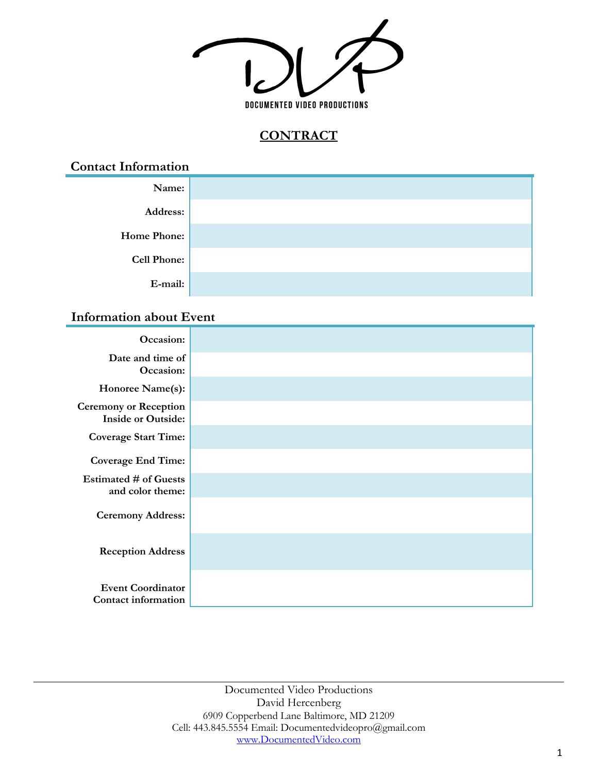

# **CONTRACT**

**Contact Information**

| Name:              |  |
|--------------------|--|
| Address:           |  |
| <b>Home Phone:</b> |  |
| <b>Cell Phone:</b> |  |
| E-mail:            |  |

### **Information about Event**

| Occasion:                                                 |  |
|-----------------------------------------------------------|--|
| Date and time of<br>Occasion:                             |  |
| Honoree Name(s):                                          |  |
| <b>Ceremony or Reception</b><br><b>Inside or Outside:</b> |  |
| <b>Coverage Start Time:</b>                               |  |
| <b>Coverage End Time:</b>                                 |  |
| <b>Estimated # of Guests</b><br>and color theme:          |  |
| <b>Ceremony Address:</b>                                  |  |
| <b>Reception Address</b>                                  |  |
| <b>Event Coordinator</b><br><b>Contact information</b>    |  |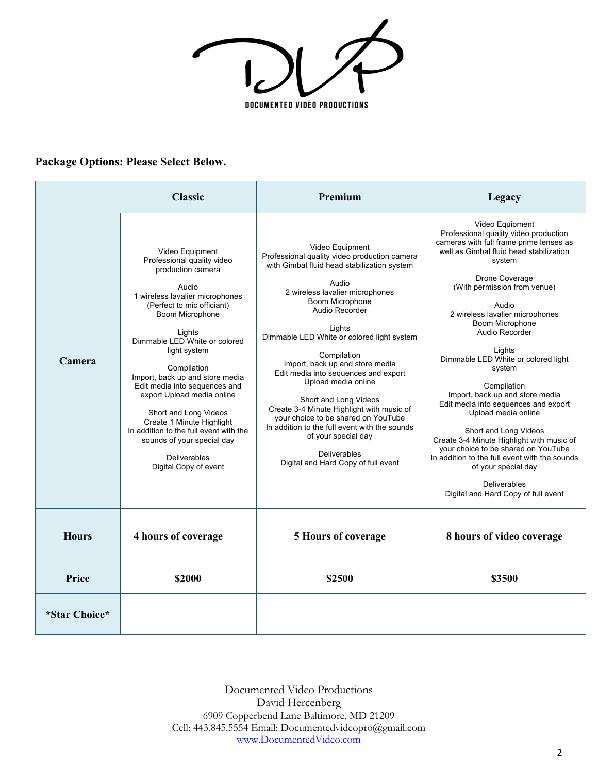$\overline{I_{c}}$  $\bigg($ DOCUMENTED VIDEO PRODUCTIONS

### **Package Options: Please Select Below.**

|               | <b>Classic</b>                                                                                                                                                                                                                                                                                                                                                                                                                                                                                                            | Premium                                                                                                                                                                                                                                                                                                                                                                                                                                                                                                                                                                                                                     | Legacy                                                                                                                                                                                                                                                                                                                                                                                                                                                                                                                                                                                                                                                                                                              |
|---------------|---------------------------------------------------------------------------------------------------------------------------------------------------------------------------------------------------------------------------------------------------------------------------------------------------------------------------------------------------------------------------------------------------------------------------------------------------------------------------------------------------------------------------|-----------------------------------------------------------------------------------------------------------------------------------------------------------------------------------------------------------------------------------------------------------------------------------------------------------------------------------------------------------------------------------------------------------------------------------------------------------------------------------------------------------------------------------------------------------------------------------------------------------------------------|---------------------------------------------------------------------------------------------------------------------------------------------------------------------------------------------------------------------------------------------------------------------------------------------------------------------------------------------------------------------------------------------------------------------------------------------------------------------------------------------------------------------------------------------------------------------------------------------------------------------------------------------------------------------------------------------------------------------|
| Camera        | Video Equipment<br>Professional quality video<br>production camera<br>Audio<br>1 wireless lavalier microphones<br>(Perfect to mic officiant)<br>Boom Microphone<br>Lights<br>Dimmable LED White or colored<br>light system<br>Compilation<br>Import, back up and store media<br>Edit media into sequences and<br>export Upload media online<br>Short and Long Videos<br>Create 1 Minute Highlight<br>In addition to the full event with the<br>sounds of your special day<br><b>Deliverables</b><br>Digital Copy of event | Video Equipment<br>Professional quality video production camera<br>with Gimbal fluid head stabilization system<br>Audio<br>2 wireless lavalier microphones<br>Boom Microphone<br>Audio Recorder<br>Lights<br>Dimmable LED White or colored light system<br>Compilation<br>Import, back up and store media<br>Edit media into sequences and export<br>Upload media online<br>Short and Long Videos<br>Create 3-4 Minute Highlight with music of<br>your choice to be shared on YouTube<br>In addition to the full event with the sounds<br>of your special day<br><b>Deliverables</b><br>Digital and Hard Copy of full event | Video Equipment<br>Professional quality video production<br>cameras with full frame prime lenses as<br>well as Gimbal fluid head stabilization<br>system<br>Drone Coverage<br>(With permission from venue)<br>Audio<br>2 wireless lavalier microphones<br>Boom Microphone<br>Audio Recorder<br>Lights<br>Dimmable LED White or colored light<br>system<br>Compilation<br>Import, back up and store media<br>Edit media into sequences and export<br>Upload media online<br>Short and Long Videos<br>Create 3-4 Minute Highlight with music of<br>vour choice to be shared on YouTube<br>In addition to the full event with the sounds<br>of your special day<br>Deliverables<br>Digital and Hard Copy of full event |
| <b>Hours</b>  | 4 hours of coverage                                                                                                                                                                                                                                                                                                                                                                                                                                                                                                       | <b>5 Hours of coverage</b>                                                                                                                                                                                                                                                                                                                                                                                                                                                                                                                                                                                                  | 8 hours of video coverage                                                                                                                                                                                                                                                                                                                                                                                                                                                                                                                                                                                                                                                                                           |
| Price         | \$2000                                                                                                                                                                                                                                                                                                                                                                                                                                                                                                                    | \$2500                                                                                                                                                                                                                                                                                                                                                                                                                                                                                                                                                                                                                      | \$3500                                                                                                                                                                                                                                                                                                                                                                                                                                                                                                                                                                                                                                                                                                              |
| *Star Choice* |                                                                                                                                                                                                                                                                                                                                                                                                                                                                                                                           |                                                                                                                                                                                                                                                                                                                                                                                                                                                                                                                                                                                                                             |                                                                                                                                                                                                                                                                                                                                                                                                                                                                                                                                                                                                                                                                                                                     |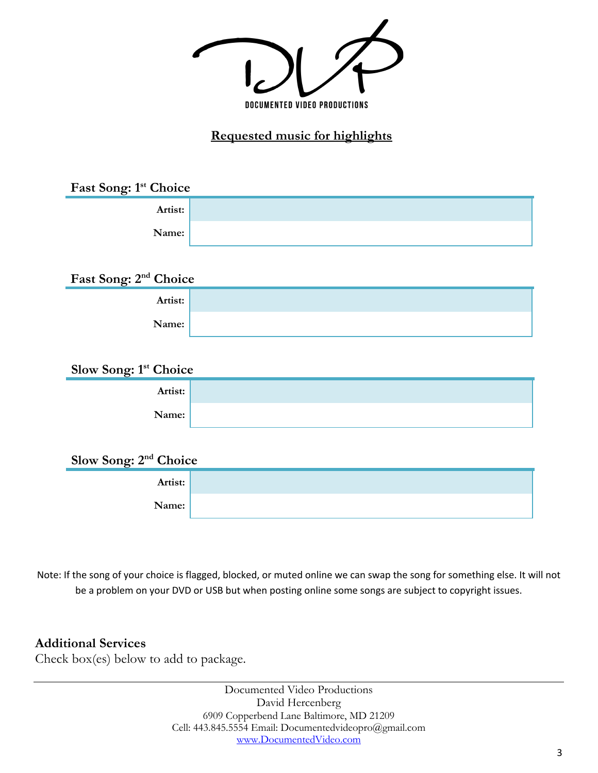

## **Requested music for highlights**

| Fast Song: 1 <sup>st</sup> Choice |  |
|-----------------------------------|--|
| Artist:                           |  |
| Name:                             |  |
|                                   |  |

| Fast Song: 2 <sup>nd</sup> Choice |  |  |
|-----------------------------------|--|--|
| Artist:                           |  |  |
| Name:                             |  |  |

### **Slow Song: 1st Choice**

| Artist: |  |
|---------|--|
| Name:   |  |

### **Slow Song: 2nd Choice**

| Artist: |  |
|---------|--|
| Name:   |  |

Note: If the song of your choice is flagged, blocked, or muted online we can swap the song for something else. It will not be a problem on your DVD or USB but when posting online some songs are subject to copyright issues.

### **Additional Services**

Check box(es) below to add to package.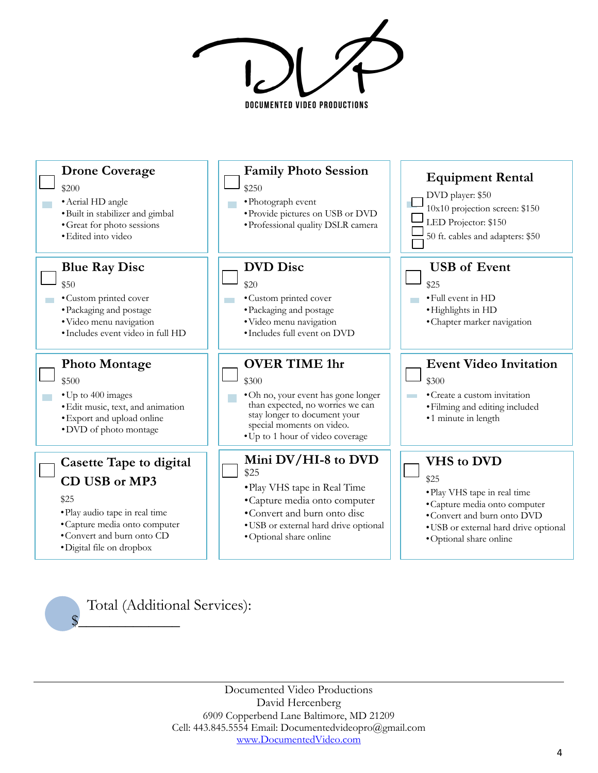DOCUMENTED VIDEO PRODUCTIONS



Documented Video Productions David Hercenberg 6909 Copperbend Lane Baltimore, MD 21209 Cell: 443.845.5554 Email: Documentedvideopro@gmail.com www.DocumentedVideo.com

 $\frac{1}{2}$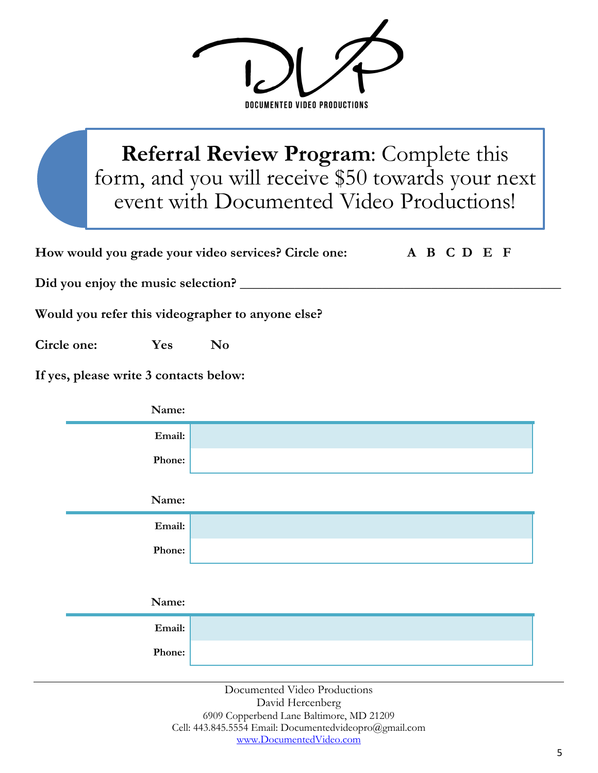DOCUMENTED VIDEO PRODUCTIONS

# **Referral Review Program**: Complete this form, and you will receive \$50 towards your next event with Documented Video Productions!

|             | How would you grade your video services? Circle one:<br>A B C D E F |                                                   |  |
|-------------|---------------------------------------------------------------------|---------------------------------------------------|--|
|             |                                                                     | Did you enjoy the music selection?                |  |
|             |                                                                     | Would you refer this videographer to anyone else? |  |
| Circle one: | Yes                                                                 | N <sub>0</sub>                                    |  |
|             | If yes, please write 3 contacts below:                              |                                                   |  |
|             | Name:                                                               |                                                   |  |
|             | Email:                                                              |                                                   |  |
|             | Phone:                                                              |                                                   |  |
|             | Name:                                                               |                                                   |  |
|             | Email:                                                              |                                                   |  |
|             | Phone:                                                              |                                                   |  |
|             |                                                                     |                                                   |  |
|             | Name:                                                               |                                                   |  |
|             | Email:                                                              |                                                   |  |
|             | Phone:                                                              |                                                   |  |

Documented Video Productions David Hercenberg 6909 Copperbend Lane Baltimore, MD 21209 Cell: 443.845.5554 Email: Documentedvideopro@gmail.com www.DocumentedVideo.com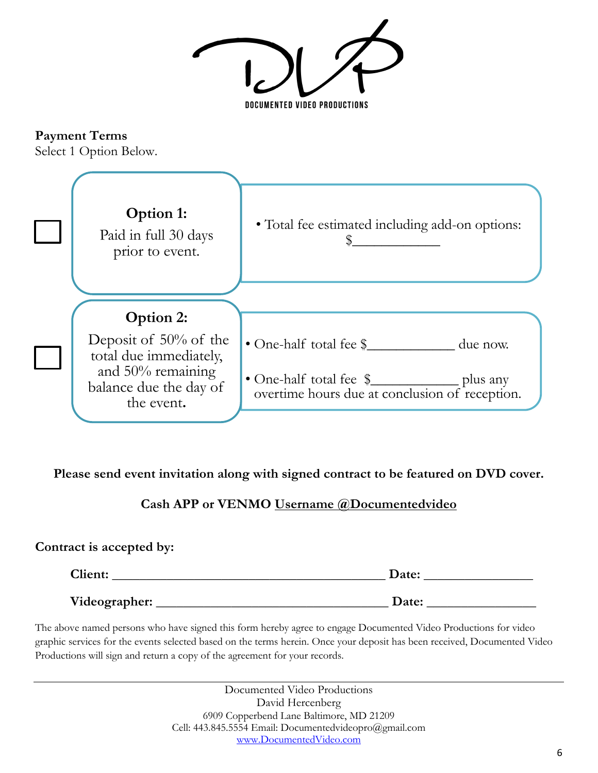DOCUMENTED VIDEO PRODUCTIONS

**Payment Terms**

Select 1 Option Below.



### **Please send event invitation along with signed contract to be featured on DVD cover.**

### **Cash APP or VENMO Username @Documentedvideo**

### **Contract is accepted by:**

| <b>Client:</b> | Date: |
|----------------|-------|
| Videographer:  | Date: |

The above named persons who have signed this form hereby agree to engage Documented Video Productions for video graphic services for the events selected based on the terms herein. Once your deposit has been received, Documented Video Productions will sign and return a copy of the agreement for your records.

> Documented Video Productions David Hercenberg 6909 Copperbend Lane Baltimore, MD 21209 Cell: 443.845.5554 Email: Documentedvideopro@gmail.com www.DocumentedVideo.com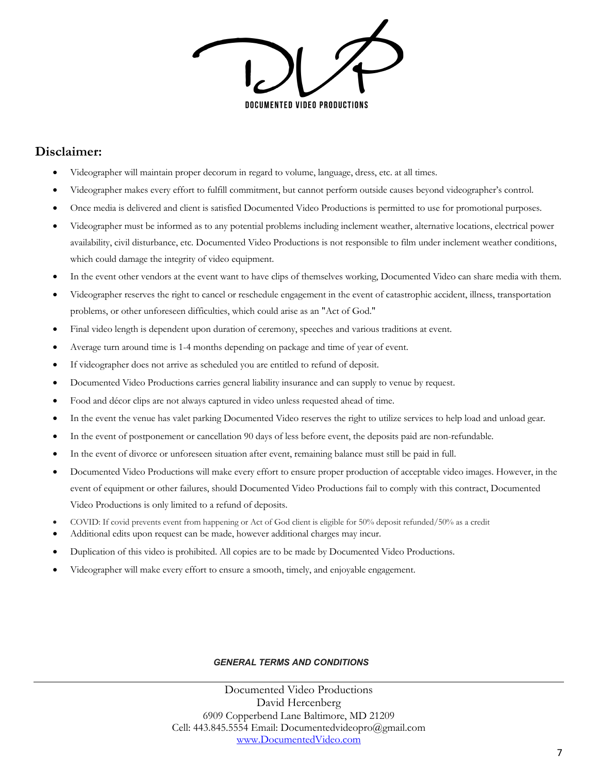DOCUMENTED VIDEO PRODUCTIONS

### **Disclaimer:**

- Videographer will maintain proper decorum in regard to volume, language, dress, etc. at all times.
- Videographer makes every effort to fulfill commitment, but cannot perform outside causes beyond videographer's control.
- Once media is delivered and client is satisfied Documented Video Productions is permitted to use for promotional purposes.
- Videographer must be informed as to any potential problems including inclement weather, alternative locations, electrical power availability, civil disturbance, etc. Documented Video Productions is not responsible to film under inclement weather conditions, which could damage the integrity of video equipment.
- In the event other vendors at the event want to have clips of themselves working, Documented Video can share media with them.
- Videographer reserves the right to cancel or reschedule engagement in the event of catastrophic accident, illness, transportation problems, or other unforeseen difficulties, which could arise as an "Act of God."
- Final video length is dependent upon duration of ceremony, speeches and various traditions at event.
- Average turn around time is 1-4 months depending on package and time of year of event.
- If videographer does not arrive as scheduled you are entitled to refund of deposit.
- Documented Video Productions carries general liability insurance and can supply to venue by request.
- Food and décor clips are not always captured in video unless requested ahead of time.
- In the event the venue has valet parking Documented Video reserves the right to utilize services to help load and unload gear.
- In the event of postponement or cancellation 90 days of less before event, the deposits paid are non-refundable.
- In the event of divorce or unforeseen situation after event, remaining balance must still be paid in full.
- Documented Video Productions will make every effort to ensure proper production of acceptable video images. However, in the event of equipment or other failures, should Documented Video Productions fail to comply with this contract, Documented Video Productions is only limited to a refund of deposits.
- COVID: If covid prevents event from happening or Act of God client is eligible for 50% deposit refunded/50% as a credit
- Additional edits upon request can be made, however additional charges may incur.
- Duplication of this video is prohibited. All copies are to be made by Documented Video Productions.
- Videographer will make every effort to ensure a smooth, timely, and enjoyable engagement.

#### *GENERAL TERMS AND CONDITIONS*